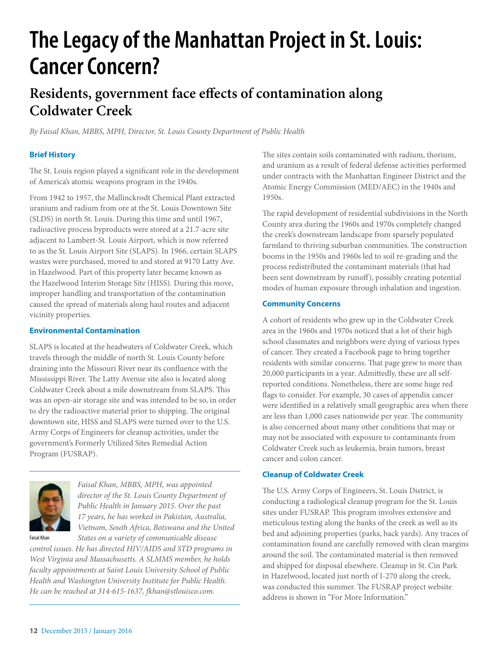# **The Legacy of the Manhattan Project in St. Louis: Cancer Concern?**

## **Residents, government face effects of contamination along Coldwater Creek**

*By Faisal Khan, MBBS, MPH, Director, St. Louis County Department of Public Health*

### **Brief History**

The St. Louis region played a significant role in the development of America's atomic weapons program in the 1940s.

From 1942 to 1957, the Mallinckrodt Chemical Plant extracted uranium and radium from ore at the St. Louis Downtown Site (SLDS) in north St. Louis. During this time and until 1967, radioactive process byproducts were stored at a 21.7-acre site adjacent to Lambert-St. Louis Airport, which is now referred to as the St. Louis Airport Site (SLAPS). In 1966, certain SLAPS wastes were purchased, moved to and stored at 9170 Latty Ave. in Hazelwood. Part of this property later became known as the Hazelwood Interim Storage Site (HISS). During this move, improper handling and transportation of the contamination caused the spread of materials along haul routes and adjacent vicinity properties.

#### **Environmental Contamination**

SLAPS is located at the headwaters of Coldwater Creek, which travels through the middle of north St. Louis County before draining into the Missouri River near its confluence with the Mississippi River. The Latty Avenue site also is located along Coldwater Creek about a mile downstream from SLAPS. This was an open-air storage site and was intended to be so, in order to dry the radioactive material prior to shipping. The original downtown site, HISS and SLAPS were turned over to the U.S. Army Corps of Engineers for cleanup activities, under the government's Formerly Utilized Sites Remedial Action Program (FUSRAP).



*Faisal Khan, MBBS, MPH, was appointed director of the St. Louis County Department of Public Health in January 2015. Over the past 17 years, he has worked in Pakistan, Australia, Vietnam, South Africa, Botswana and the United States on a variety of communicable disease* 

Faisal Khan

*control issues. He has directed HIV/AIDS and STD programs in West Virginia and Massachusetts. A SLMMS member, he holds faculty appointments at Saint Louis University School of Public Health and Washington University Institute for Public Health. He can be reached at 314-615-1637, fkhan@stlouisco.com.*

The sites contain soils contaminated with radium, thorium, and uranium as a result of federal defense activities performed under contracts with the Manhattan Engineer District and the Atomic Energy Commission (MED/AEC) in the 1940s and 1950s.

The rapid development of residential subdivisions in the North County area during the 1960s and 1970s completely changed the creek's downstream landscape from sparsely populated farmland to thriving suburban communities. The construction booms in the 1950s and 1960s led to soil re-grading and the process redistributed the contaminant materials (that had been sent downstream by runoff), possibly creating potential modes of human exposure through inhalation and ingestion.

#### **Community Concerns**

A cohort of residents who grew up in the Coldwater Creek area in the 1960s and 1970s noticed that a lot of their high school classmates and neighbors were dying of various types of cancer. They created a Facebook page to bring together residents with similar concerns. That page grew to more than 20,000 participants in a year. Admittedly, these are all selfreported conditions. Nonetheless, there are some huge red flags to consider. For example, 30 cases of appendix cancer were identified in a relatively small geographic area when there are less than 1,000 cases nationwide per year. The community is also concerned about many other conditions that may or may not be associated with exposure to contaminants from Coldwater Creek such as leukemia, brain tumors, breast cancer and colon cancer.

#### **Cleanup of Coldwater Creek**

The U.S. Army Corps of Engineers, St. Louis District, is conducting a radiological cleanup program for the St. Louis sites under FUSRAP. This program involves extensive and meticulous testing along the banks of the creek as well as its bed and adjoining properties (parks, back yards). Any traces of contamination found are carefully removed with clean margins around the soil. The contaminated material is then removed and shipped for disposal elsewhere. Cleanup in St. Cin Park in Hazelwood, located just north of I-270 along the creek, was conducted this summer. The FUSRAP project website address is shown in "For More Information."